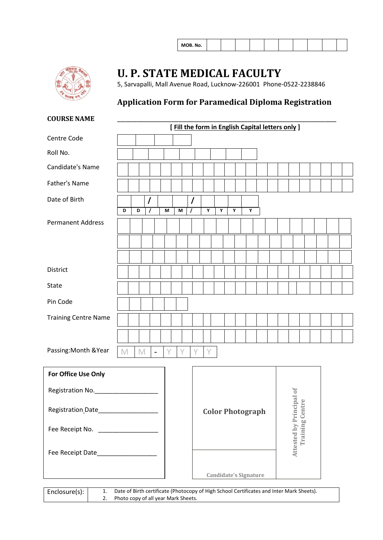| MOB. No. |  |
|----------|--|
|----------|--|



## **U. P. STATE MEDICAL FACULTY**

5, Sarvapalli, Mall Avenue Road, Lucknow-226001 Phone-0522-2238846

### **Application Form for Paramedical Diploma Registration**

#### **COURSE NAME**

|                             |             |             |          |                          |   |   |          |   |   |   |   | [ Fill the form in English Capital letters only ] |  |        |  |  |  |
|-----------------------------|-------------|-------------|----------|--------------------------|---|---|----------|---|---|---|---|---------------------------------------------------|--|--------|--|--|--|
| Centre Code                 |             |             |          |                          |   |   |          |   |   |   |   |                                                   |  |        |  |  |  |
| Roll No.                    |             |             |          |                          |   |   |          |   |   |   |   |                                                   |  |        |  |  |  |
| Candidate's Name            |             |             |          |                          |   |   |          |   |   |   |   |                                                   |  |        |  |  |  |
| Father's Name               |             |             |          |                          |   |   |          |   |   |   |   |                                                   |  |        |  |  |  |
| Date of Birth               | D           |             | 7        |                          |   |   | $\prime$ |   | Υ | Y | Y | Υ                                                 |  |        |  |  |  |
|                             |             | D           | $\prime$ |                          | M | M | $\prime$ |   |   |   |   |                                                   |  |        |  |  |  |
| <b>Permanent Address</b>    |             |             |          |                          |   |   |          |   |   |   |   |                                                   |  |        |  |  |  |
|                             |             |             |          |                          |   |   |          |   |   |   |   |                                                   |  |        |  |  |  |
|                             |             |             |          |                          |   |   |          |   |   |   |   |                                                   |  |        |  |  |  |
| District                    |             |             |          |                          |   |   |          |   |   |   |   |                                                   |  |        |  |  |  |
| <b>State</b>                |             |             |          |                          |   |   |          |   |   |   |   |                                                   |  |        |  |  |  |
| Pin Code                    |             |             |          |                          |   |   |          |   |   |   |   |                                                   |  |        |  |  |  |
| <b>Training Centre Name</b> |             |             |          |                          |   |   |          |   |   |   |   |                                                   |  |        |  |  |  |
|                             |             |             |          |                          |   |   |          |   |   |   |   |                                                   |  |        |  |  |  |
| Passing: Month & Year       | $\mathbb M$ | $\mathbb M$ |          | $\overline{\phantom{a}}$ | Y | Y |          | Y | Y |   |   |                                                   |  |        |  |  |  |
| For Office Use Only         |             |             |          |                          |   |   |          |   |   |   |   |                                                   |  |        |  |  |  |
| Dealerships Ne              |             |             |          |                          |   |   |          |   |   |   |   |                                                   |  | $\sim$ |  |  |  |

| Registration No.  |                              |          |
|-------------------|------------------------------|----------|
| Registration Date | <b>Color Photograph</b>      | Principa |
| Fee Receipt No.   |                              |          |
| Fee Receipt Date  |                              | Attested |
|                   | <b>Candidate's Signature</b> |          |

Enclosure(s): 1. Date of Birth certificate (Photocopy of High School Certificates and Inter Mark Sheets).<br>2. Photo copy of all year Mark Sheets. Photo copy of all year Mark Sheets.